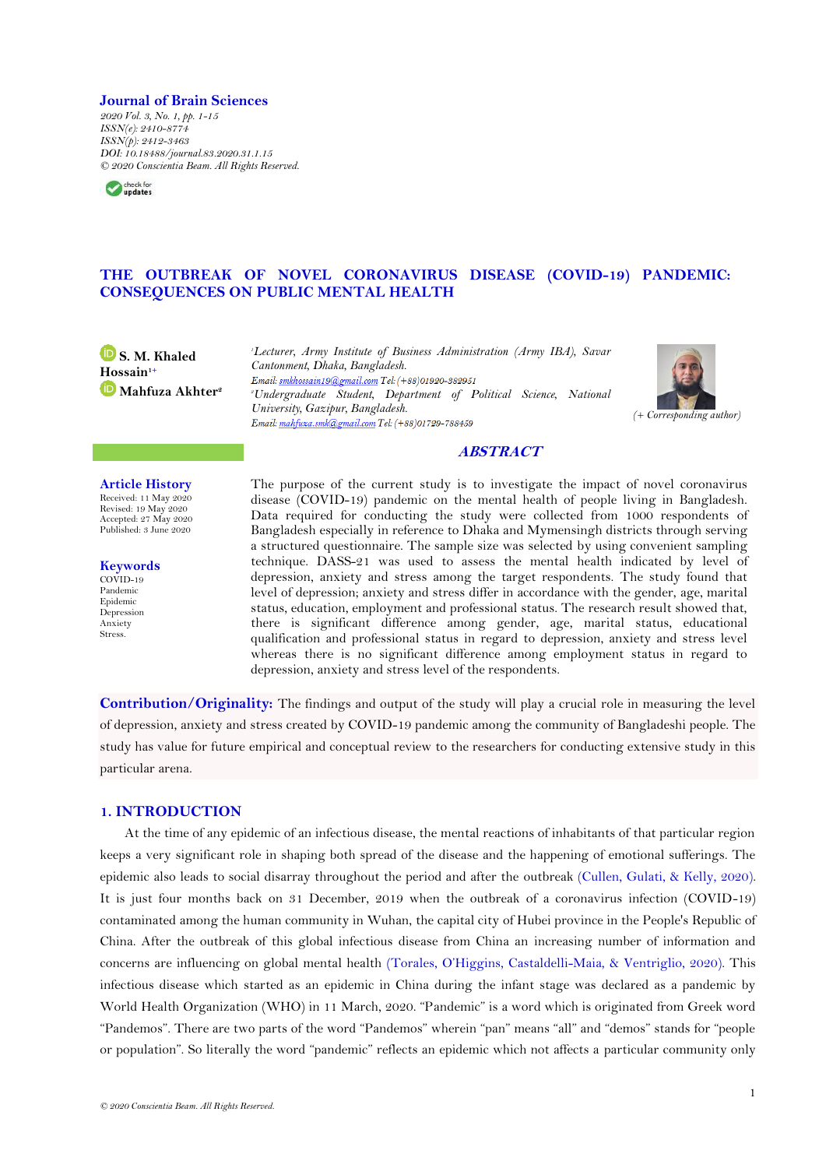#### **Journal of Brain Sciences**

*2020 Vol. 3, No. 1, pp. 1-15 ISSN(e): 2410-8774 ISSN(p): 2412-3463 DOI: 10.18488/journal.83.2020.31.1.15 © 2020 Conscientia Beam. All Rights Reserved.*



## **THE OUTBREAK OF NOVEL CORONAVIRUS DISEASE (COVID-19) PANDEMIC: CONSEQUENCES ON PUBLIC MENTAL HEALTH**

**S. M. Khaled Hossain1+ Mahfuza Akhter<sup>2</sup>** *<sup>1</sup>Lecturer, Army Institute of Business Administration (Army IBA), Savar Cantonment, Dhaka, Bangladesh.* Email: smkhossain19@gmail.com Tel: (+88)01920-382951 *<sup>2</sup>Undergraduate Student, Department of Political Science, National University, Gazipur, Bangladesh. (+ Corresponding author)*



## **ABSTRACT**

**Article History** Received: 11 May 2020 Revised: 19 May 2020 Accepted: 27 May 2020 Published: 3 June 2020

**Keywords** COVID-19 Pandemic Epidemic Depression Anxiety Stress.

The purpose of the current study is to investigate the impact of novel coronavirus disease (COVID-19) pandemic on the mental health of people living in Bangladesh. Data required for conducting the study were collected from 1000 respondents of Bangladesh especially in reference to Dhaka and Mymensingh districts through serving a structured questionnaire. The sample size was selected by using convenient sampling technique. DASS-21 was used to assess the mental health indicated by level of depression, anxiety and stress among the target respondents. The study found that level of depression; anxiety and stress differ in accordance with the gender, age, marital status, education, employment and professional status. The research result showed that, there is significant difference among gender, age, marital status, educational qualification and professional status in regard to depression, anxiety and stress level whereas there is no significant difference among employment status in regard to depression, anxiety and stress level of the respondents.

**Contribution/Originality:** The findings and output of the study will play a crucial role in measuring the level of depression, anxiety and stress created by COVID-19 pandemic among the community of Bangladeshi people. The study has value for future empirical and conceptual review to the researchers for conducting extensive study in this particular arena.

## **1. INTRODUCTION**

At the time of any epidemic of an infectious disease, the mental reactions of inhabitants of that particular region keeps a very significant role in shaping both spread of the disease and the happening of emotional sufferings. The epidemic also leads to social disarray throughout the period and after the outbreak [\(Cullen, Gulati, & Kelly, 2020\)](#page-13-0). It is just four months back on 31 December, 2019 when the outbreak of a coronavirus infection (COVID-19) contaminated among the human community in Wuhan, the capital city of Hubei province in the People's Republic of China. After the outbreak of this global infectious disease from China an increasing number of information and concerns are influencing on global mental health ([Torales, O'Higgins, Castaldelli](#page-14-0)-Maia, & Ventriglio, 2020). This infectious disease which started as an epidemic in China during the infant stage was declared as a pandemic by World Health Organization (WHO) in 11 March, 2020. "Pandemic" is a word which is originated from Greek word "Pandemos". There are two parts of the word "Pandemos" wherein "pan" means "all" and "demos" stands for "people or population". So literally the word "pandemic" reflects an epidemic which not affects a particular community only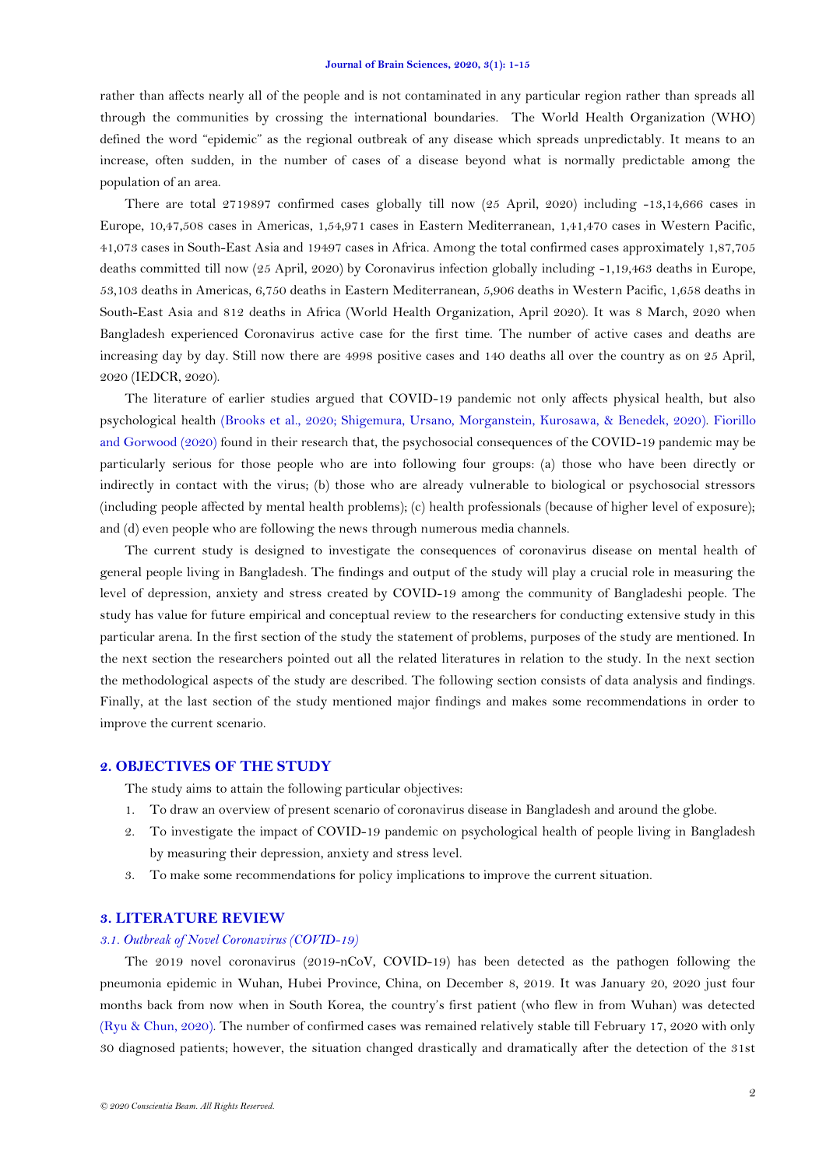rather than affects nearly all of the people and is not contaminated in any particular region rather than spreads all through the communities by crossing the international boundaries. The World Health Organization (WHO) defined the word "epidemic" as the regional outbreak of any disease which spreads unpredictably. It means to an increase, often sudden, in the number of cases of a disease beyond what is normally predictable among the population of an area.

There are total 2719897 confirmed cases globally till now (25 April, 2020) including -13,14,666 cases in Europe, 10,47,508 cases in Americas, 1,54,971 cases in Eastern Mediterranean, 1,41,470 cases in Western Pacific, 41,073 cases in South-East Asia and 19497 cases in Africa. Among the total confirmed cases approximately 1,87,705 deaths committed till now (25 April, 2020) by Coronavirus infection globally including -1,19,463 deaths in Europe, 53,103 deaths in Americas, 6,750 deaths in Eastern Mediterranean, 5,906 deaths in Western Pacific, 1,658 deaths in South-East Asia and 812 deaths in Africa (World Health Organization, April 2020). It was 8 March, 2020 when Bangladesh experienced Coronavirus active case for the first time. The number of active cases and deaths are increasing day by day. Still now there are 4998 positive cases and 140 deaths all over the country as on 25 April, 2020 (IEDCR, 2020).

The literature of earlier studies argued that COVID-19 pandemic not only affects physical health, but also psychological health [\(Brooks et al., 2020;](#page-13-1) [Shigemura, Ursano, Morganstein, Kurosawa, & Benedek, 2020\)](#page-13-2). [Fiorillo](#page-13-3)  [and Gorwood \(2020\)](#page-13-3) found in their research that, the psychosocial consequences of the COVID-19 pandemic may be particularly serious for those people who are into following four groups: (a) those who have been directly or indirectly in contact with the virus; (b) those who are already vulnerable to biological or psychosocial stressors (including people affected by mental health problems); (c) health professionals (because of higher level of exposure); and (d) even people who are following the news through numerous media channels.

The current study is designed to investigate the consequences of coronavirus disease on mental health of general people living in Bangladesh. The findings and output of the study will play a crucial role in measuring the level of depression, anxiety and stress created by COVID-19 among the community of Bangladeshi people. The study has value for future empirical and conceptual review to the researchers for conducting extensive study in this particular arena. In the first section of the study the statement of problems, purposes of the study are mentioned. In the next section the researchers pointed out all the related literatures in relation to the study. In the next section the methodological aspects of the study are described. The following section consists of data analysis and findings. Finally, at the last section of the study mentioned major findings and makes some recommendations in order to improve the current scenario.

### **2. OBJECTIVES OF THE STUDY**

The study aims to attain the following particular objectives:

- 1. To draw an overview of present scenario of coronavirus disease in Bangladesh and around the globe.
- 2. To investigate the impact of COVID-19 pandemic on psychological health of people living in Bangladesh by measuring their depression, anxiety and stress level.
- 3. To make some recommendations for policy implications to improve the current situation.

## **3. LITERATURE REVIEW**

#### *3.1. Outbreak of Novel Coronavirus (COVID-19)*

The 2019 novel coronavirus (2019-nCoV, COVID-19) has been detected as the pathogen following the pneumonia epidemic in Wuhan, Hubei Province, China, on December 8, 2019. It was January 20, 2020 just four months back from now when in South Korea, the country's first patient (who flew in from Wuhan) was detected [\(Ryu & Chun, 2020\)](#page-13-4). The number of confirmed cases was remained relatively stable till February 17, 2020 with only 30 diagnosed patients; however, the situation changed drastically and dramatically after the detection of the 31st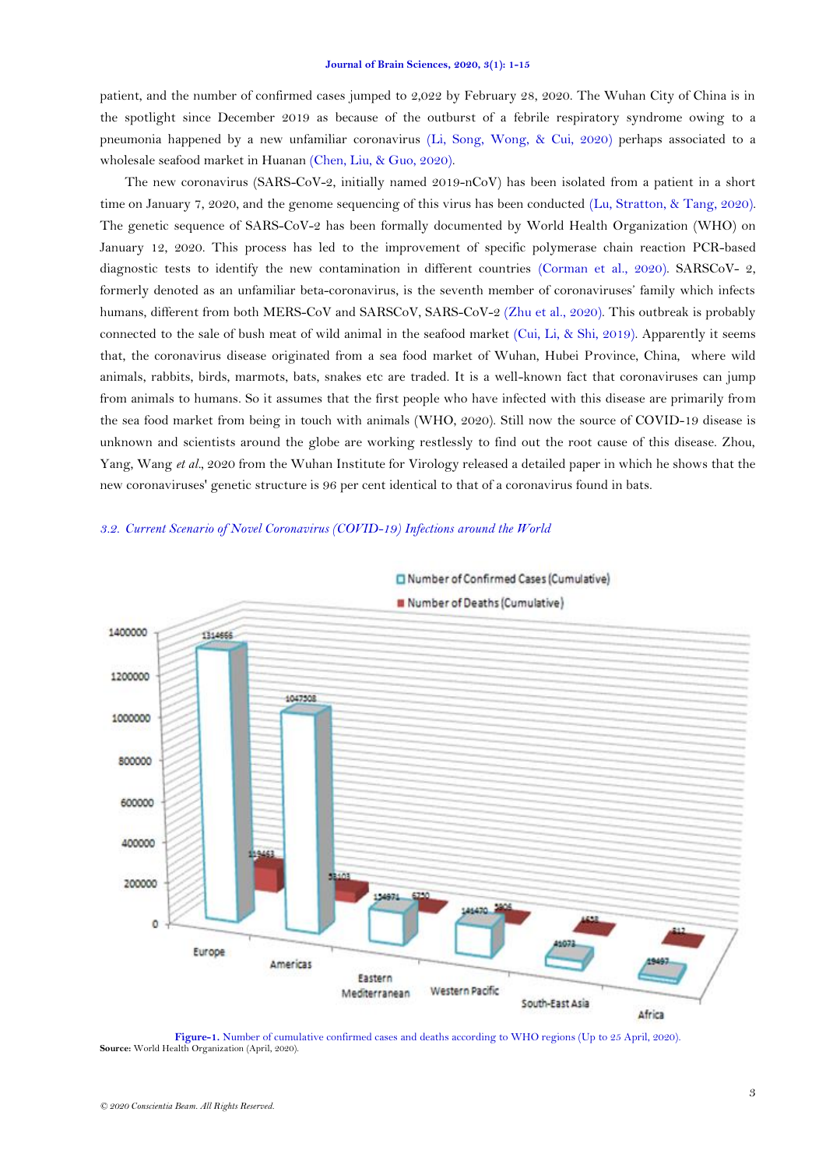patient, and the number of confirmed cases jumped to 2,022 by February 28, 2020. The Wuhan City of China is in the spotlight since December 2019 as because of the outburst of a febrile respiratory syndrome owing to a pneumonia happened by a new unfamiliar coronavirus [\(Li, Song, Wong, & Cui, 2020\)](#page-13-5) perhaps associated to a wholesale seafood market in Huanan [\(Chen, Liu, & Guo, 2020\)](#page-13-6).

The new coronavirus (SARS-CoV-2, initially named 2019-nCoV) has been isolated from a patient in a short time on January 7, 2020, and the genome sequencing of this virus has been conducted [\(Lu, Stratton, & Tang, 2020\)](#page-13-7). The genetic sequence of SARS-CoV-2 has been formally documented by World Health Organization (WHO) on January 12, 2020. This process has led to the improvement of specific polymerase chain reaction PCR-based diagnostic tests to identify the new contamination in different countries [\(Corman et al., 2020\)](#page-13-8). SARSCoV- 2, formerly denoted as an unfamiliar beta-coronavirus, is the seventh member of coronaviruses' family which infects humans, different from both MERS-CoV and SARSCoV, SARS-CoV-2 [\(Zhu et al., 2020\)](#page-14-1). This outbreak is probably connected to the sale of bush meat of wild animal in the seafood market [\(Cui, Li, & Shi, 2019\)](#page-13-9). Apparently it seems that, the coronavirus disease originated from a sea food market of Wuhan, Hubei Province, China, where wild animals, rabbits, birds, marmots, bats, snakes etc are traded. It is a well-known fact that coronaviruses can jump from animals to humans. So it assumes that the first people who have infected with this disease are primarily from the sea food market from being in touch with animals (WHO, 2020). Still now the source of COVID-19 disease is unknown and scientists around the globe are working restlessly to find out the root cause of this disease. Zhou, Yang, Wang *et al.*, 2020 from the Wuhan Institute for Virology released a detailed paper in which he shows that the new coronaviruses' genetic structure is 96 per cent identical to that of a coronavirus found in bats.

### *3.2. Current Scenario of Novel Coronavirus (COVID-19) Infections around the World*



# Number of Confirmed Cases (Cumulative)

<span id="page-2-0"></span>**Figure-1.** Number of cumulative confirmed cases and deaths according to WHO regions (Up to 25 April, 2020). **Source:** World Health Organization (April, 2020).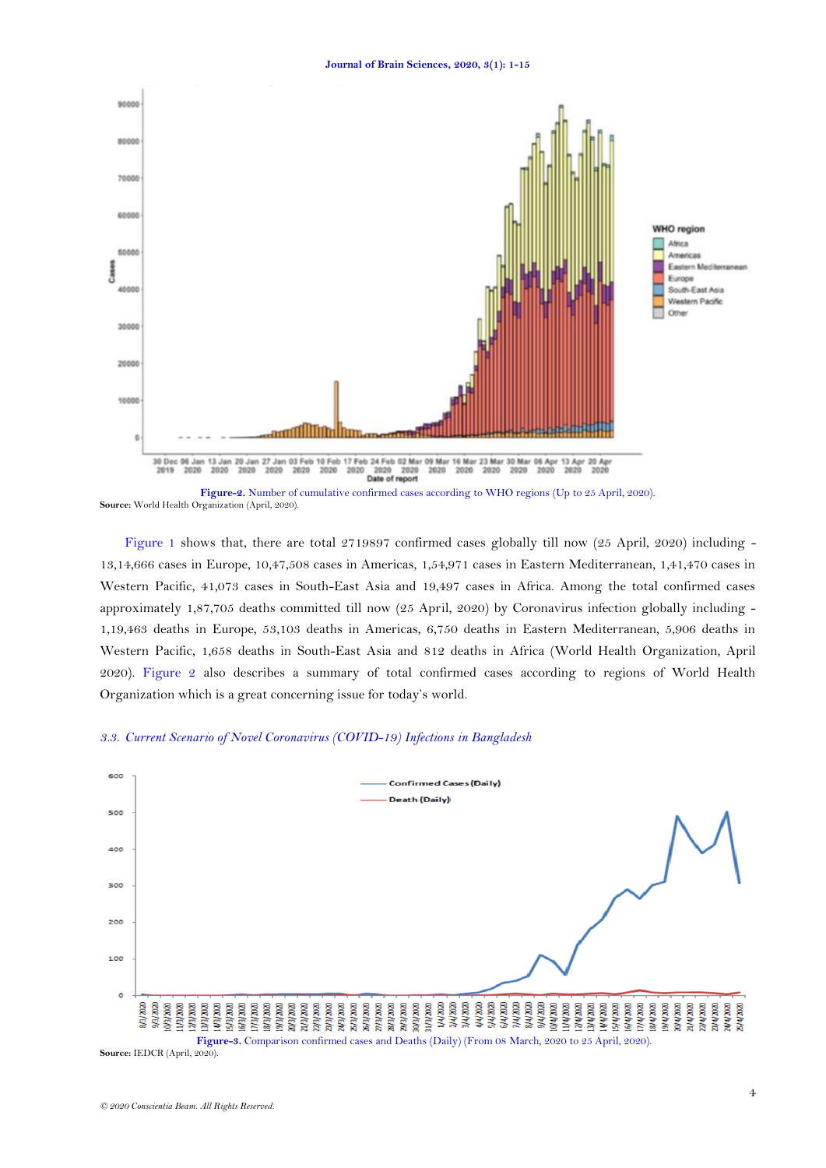

**Source:** World Health Organization (April, 2020).

[Figure 1](#page-2-0) shows that, there are total 2719897 confirmed cases globally till now (25 April, 2020) including - 13,14,666 cases in Europe, 10,47,508 cases in Americas, 1,54,971 cases in Eastern Mediterranean, 1,41,470 cases in Western Pacific, 41,073 cases in South-East Asia and 19,497 cases in Africa. Among the total confirmed cases approximately 1,87,705 deaths committed till now (25 April, 2020) by Coronavirus infection globally including - 1,19,463 deaths in Europe, 53,103 deaths in Americas, 6,750 deaths in Eastern Mediterranean, 5,906 deaths in Western Pacific, 1,658 deaths in South-East Asia and 812 deaths in Africa (World Health Organization, April 2020). Figure 2 also describes a summary of total confirmed cases according to regions of World Health Organization which is a great concerning issue for today's world.

## *3.3. Current Scenario of Novel Coronavirus (COVID-19) Infections in Bangladesh*



<span id="page-3-0"></span>**Source:** IEDCR (April, 2020).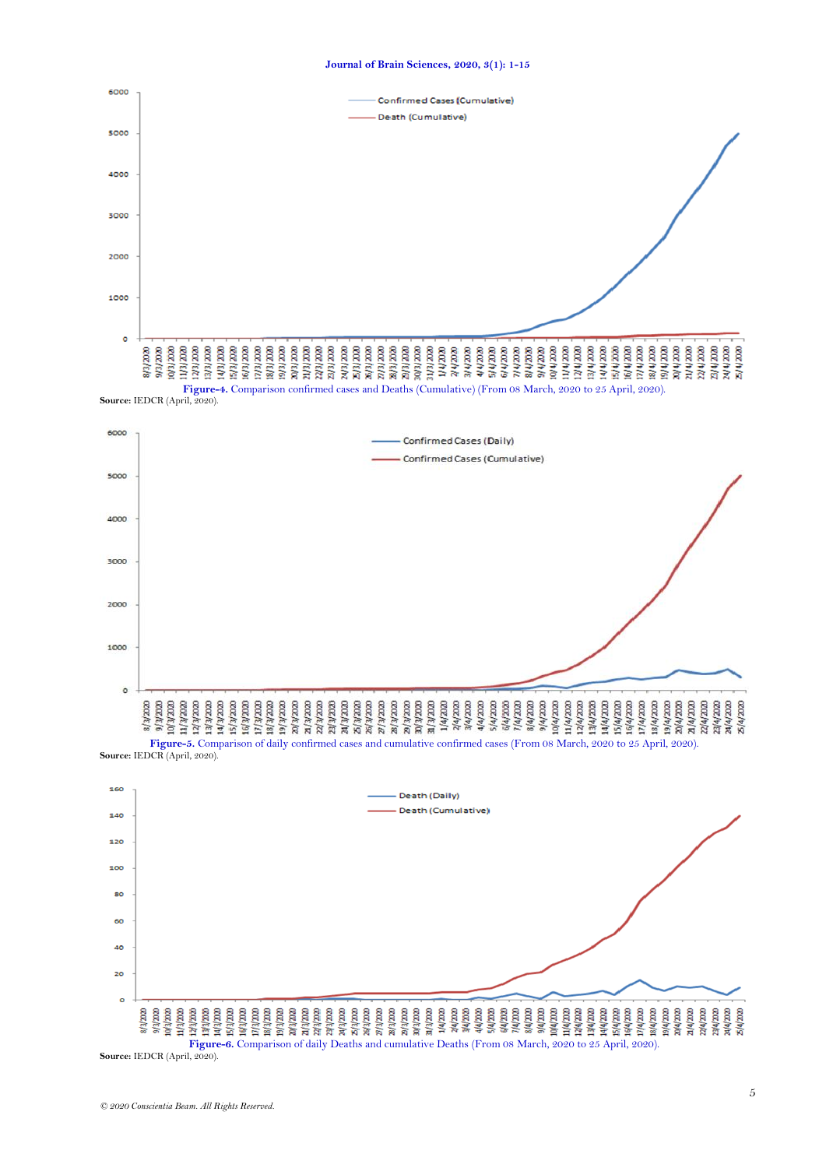

**Figure-6.** Comparison of daily Deaths and cumulative Deaths (From 08 March, 2020 to 25 April, 2020). **Source:** IEDCR (April, 2020).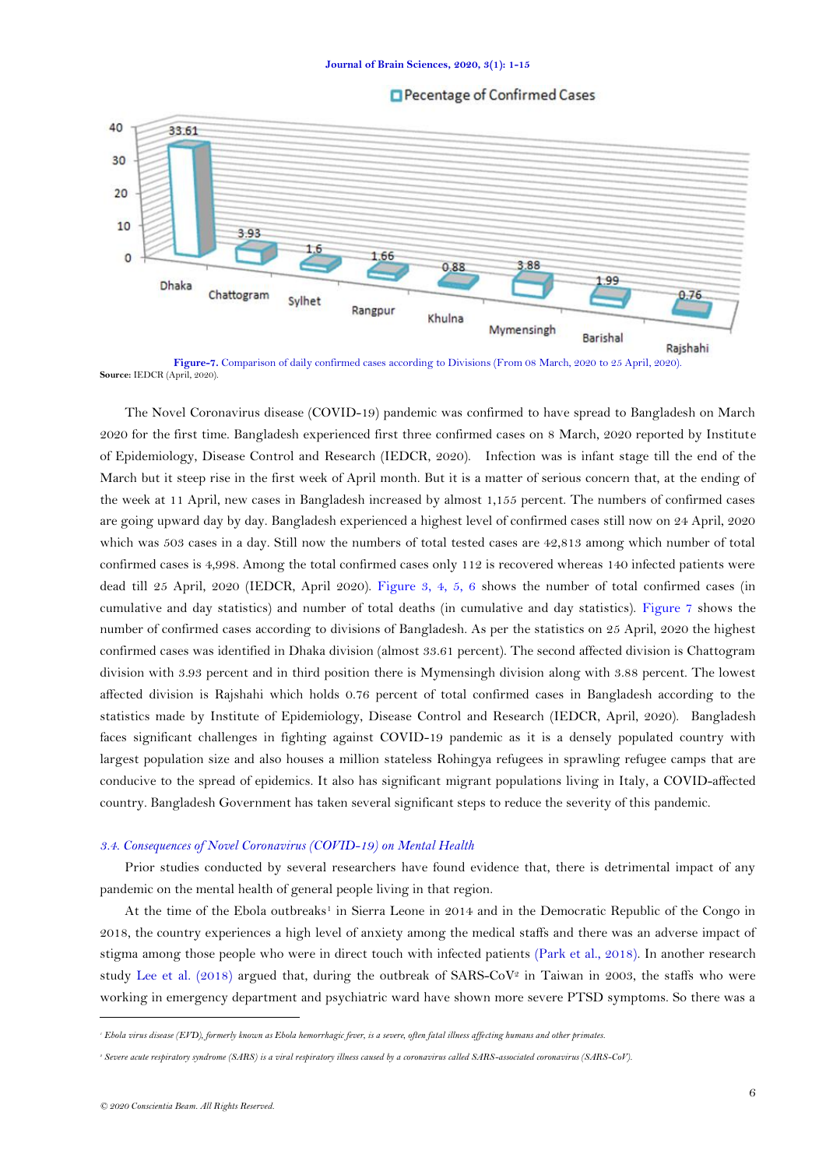



<span id="page-5-0"></span>**Figure-7.** Comparison of daily confirmed cases according to Divisions (From 08 March, 2020 to 25 April, 2020). **Source:** IEDCR (April, 2020).

The Novel Coronavirus disease (COVID-19) pandemic was confirmed to have spread to Bangladesh on March 2020 for the first time. Bangladesh experienced first three confirmed cases on 8 March, 2020 reported by Institute of Epidemiology, Disease Control and Research (IEDCR, 2020). Infection was is infant stage till the end of the March but it steep rise in the first week of April month. But it is a matter of serious concern that, at the ending of the week at 11 April, new cases in Bangladesh increased by almost 1,155 percent. The numbers of confirmed cases are going upward day by day. Bangladesh experienced a highest level of confirmed cases still now on 24 April, 2020 which was 503 cases in a day. Still now the numbers of total tested cases are 42,813 among which number of total confirmed cases is 4,998. Among the total confirmed cases only 112 is recovered whereas 140 infected patients were dead till 25 April, 2020 (IEDCR, April 2020). [Figure 3, 4, 5, 6](#page-3-0) shows the number of total confirmed cases (in cumulative and day statistics) and number of total deaths (in cumulative and day statistics). [Figure 7](#page-5-0) shows the number of confirmed cases according to divisions of Bangladesh. As per the statistics on 25 April, 2020 the highest confirmed cases was identified in Dhaka division (almost 33.61 percent). The second affected division is Chattogram division with 3.93 percent and in third position there is Mymensingh division along with 3.88 percent. The lowest affected division is Rajshahi which holds 0.76 percent of total confirmed cases in Bangladesh according to the statistics made by Institute of Epidemiology, Disease Control and Research (IEDCR, April, 2020). Bangladesh faces significant challenges in fighting against COVID-19 pandemic as it is a densely populated country with largest population size and also houses a million stateless [Rohingya refugees](https://en.wikipedia.org/wiki/Rohingya_refugees_in_Bangladesh) in sprawling refugee camps that are conducive to the spread of epidemics. It also has significant [migrant populations](https://en.wikipedia.org/wiki/Bangladeshis_in_Italy) living in [Italy,](https://en.wikipedia.org/wiki/2020_coronavirus_pandemic_in_Italy) a COVID-affected country. Bangladesh Government has taken several significant steps to reduce the severity of this pandemic.

## *3.4. Consequences of Novel Coronavirus (COVID-19) on Mental Health*

Prior studies conducted by several researchers have found evidence that, there is detrimental impact of any pandemic on the mental health of general people living in that region.

At the time of the Ebola outbreaks<sup>1</sup> in Sierra Leone in 2014 and in the Democratic Republic of the Congo in 2018, the country experiences a high level of anxiety among the medical staffs and there was an adverse impact of stigma among those people who were in direct touch with infected patients [\(Park et al., 2018\)](#page-13-10). In another research study [Lee et al. \(2018\)](#page-13-11) argued that, during the outbreak of SARS-CoV<sup>2</sup> in Taiwan in 2003, the staffs who were working in emergency department and psychiatric ward have shown more severe PTSD symptoms. So there was a

1

*<sup>1</sup> Ebola virus disease (EVD), formerly known as Ebola hemorrhagic fever, is a severe, often fatal illness affecting humans and other primates.*

*<sup>2</sup> Severe acute respiratory syndrome (SARS) is a viral respiratory illness caused by a coronavirus called SARS-associated coronavirus (SARS-CoV).*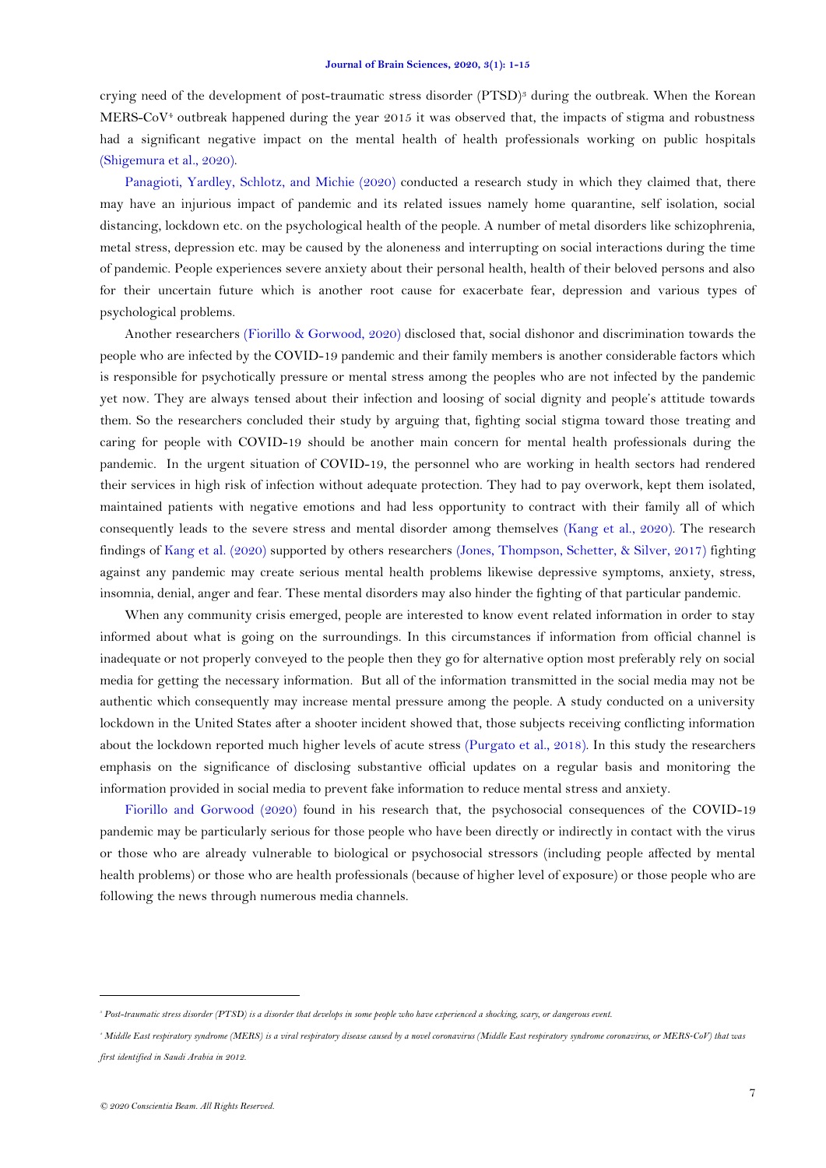crying need of the development of post-traumatic stress disorder (PTSD)<sup>3</sup> during the outbreak. When the Korean MERS-CoV<sup>4</sup> outbreak happened during the year 2015 it was observed that, the impacts of stigma and robustness had a significant negative impact on the mental health of health professionals working on public hospitals [\(Shigemura et al., 2020\)](#page-13-2).

[Panagioti, Yardley, Schlotz, and Michie \(2020\)](#page-13-12) conducted a research study in which they claimed that, there may have an injurious impact of pandemic and its related issues namely home quarantine, self isolation, social distancing, lockdown etc. on the psychological health of the people. A number of metal disorders like schizophrenia, metal stress, depression etc. may be caused by the aloneness and interrupting on social interactions during the time of pandemic. People experiences severe anxiety about their personal health, health of their beloved persons and also for their uncertain future which is another root cause for exacerbate fear, depression and various types of psychological problems.

Another researchers [\(Fiorillo & Gorwood,](#page-13-3) 2020) disclosed that, social dishonor and discrimination towards the people who are infected by the COVID-19 pandemic and their family members is another considerable factors which is responsible for psychotically pressure or mental stress among the peoples who are not infected by the pandemic yet now. They are always tensed about their infection and loosing of social dignity and people's attitude towards them. So the researchers concluded their study by arguing that, fighting social stigma toward those treating and caring for people with COVID-19 should be another main concern for mental health professionals during the pandemic. In the urgent situation of COVID-19, the personnel who are working in health sectors had rendered their services in high risk of infection without adequate protection. They had to pay overwork, kept them isolated, maintained patients with negative emotions and had less opportunity to contract with their family all of which consequently leads to the severe stress and mental disorder among themselves [\(Kang et al., 2020\)](#page-13-13). The research findings of [Kang et al. \(2020\)](#page-13-13) supported by others researchers [\(Jones, Thompson, Schetter, & Silver, 2017\)](#page-13-14) fighting against any pandemic may create serious mental health problems likewise depressive symptoms, anxiety, stress, insomnia, denial, anger and fear. These mental disorders may also hinder the fighting of that particular pandemic.

When any community crisis emerged, people are interested to know event related information in order to stay informed about what is going on the surroundings. In this circumstances if information from official channel is inadequate or not properly conveyed to the people then they go for alternative option most preferably rely on social media for getting the necessary information. But all of the information transmitted in the social media may not be authentic which consequently may increase mental pressure among the people. A study conducted on a university lockdown in the United States after a shooter incident showed that, those subjects receiving conflicting information about the lockdown reported much higher levels of acute stress [\(Purgato et al., 2018\)](#page-13-15). In this study the researchers emphasis on the significance of disclosing substantive official updates on a regular basis and monitoring the information provided in social media to prevent fake information to reduce mental stress and anxiety.

[Fiorillo and Gorwood \(2020\)](#page-13-3) found in his research that, the psychosocial consequences of the COVID-19 pandemic may be particularly serious for those people who have been directly or indirectly in contact with the virus or those who are already vulnerable to biological or psychosocial stressors (including people affected by mental health problems) or those who are health professionals (because of higher level of exposure) or those people who are following the news through numerous media channels.

 $\overline{a}$ 

*<sup>3</sup> Post-traumatic stress disorder (PTSD) is a disorder that develops in some people who have experienced a shocking, scary, or dangerous event.*

*<sup>4</sup> Middle East respiratory syndrome (MERS) is a viral respiratory disease caused by a novel coronavirus (Middle East respiratory syndrome coronavirus, or MERS*‐*CoV) that was first identified in Saudi Arabia in 2012.*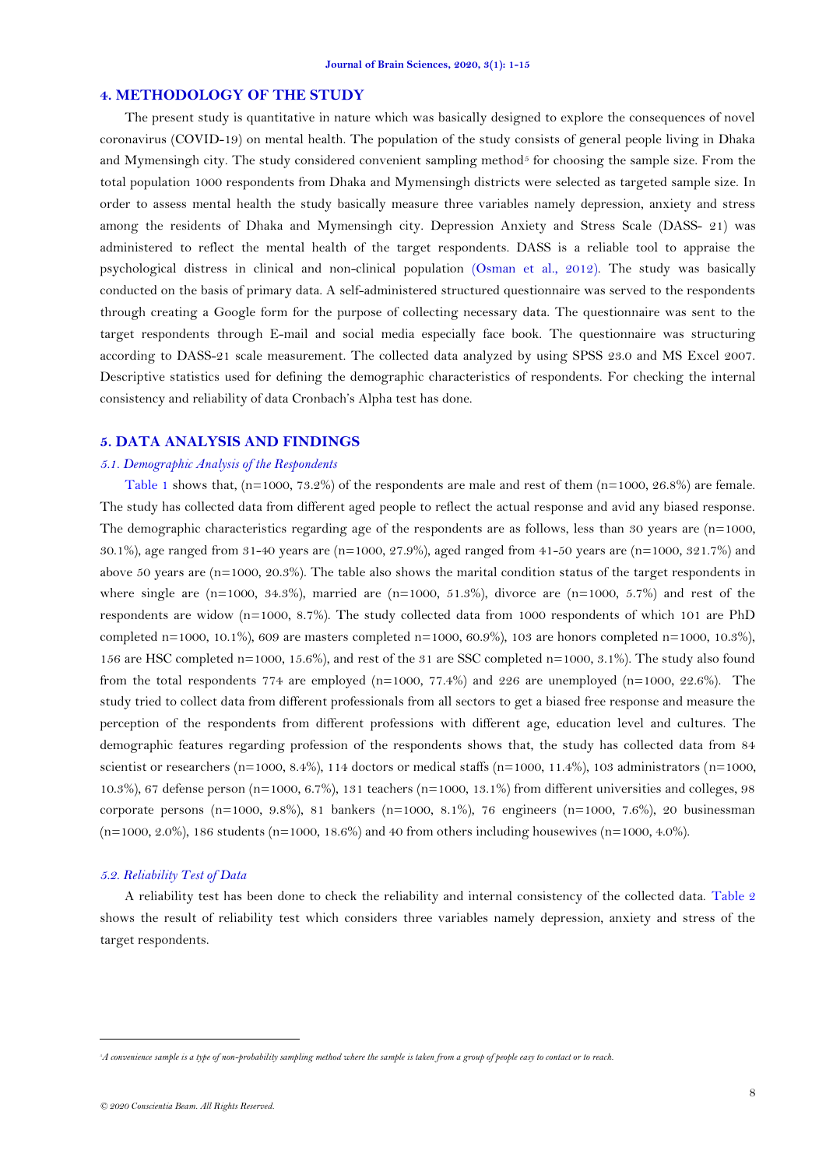### **4. METHODOLOGY OF THE STUDY**

The present study is quantitative in nature which was basically designed to explore the consequences of novel coronavirus (COVID-19) on mental health. The population of the study consists of general people living in Dhaka and Mymensingh city. The study considered convenient sampling method<sup>5</sup> for choosing the sample size. From the total population 1000 respondents from Dhaka and Mymensingh districts were selected as targeted sample size. In order to assess mental health the study basically measure three variables namely depression, anxiety and stress among the residents of Dhaka and Mymensingh city. Depression Anxiety and Stress Scale (DASS- 21) was administered to reflect the mental health of the target respondents. DASS is a reliable tool to appraise the psychological distress in clinical and non-clinical population [\(Osman et al., 2012\)](#page-13-16). The study was basically conducted on the basis of primary data. A self-administered structured questionnaire was served to the respondents through creating a Google form for the purpose of collecting necessary data. The questionnaire was sent to the target respondents through E-mail and social media especially face book. The questionnaire was structuring according to DASS-21 scale measurement. The collected data analyzed by using SPSS 23.0 and MS Excel 2007. Descriptive statistics used for defining the demographic characteristics of respondents. For checking the internal consistency and reliability of data Cronbach's Alpha test has done.

## **5. DATA ANALYSIS AND FINDINGS**

### *5.1. Demographic Analysis of the Respondents*

[Table 1](#page-8-0) shows that,  $(n=1000, 73.2\%)$  of the respondents are male and rest of them  $(n=1000, 26.8\%)$  are female. The study has collected data from different aged people to reflect the actual response and avid any biased response. The demographic characteristics regarding age of the respondents are as follows, less than 30 years are (n=1000, 30.1%), age ranged from 31-40 years are (n=1000, 27.9%), aged ranged from 41-50 years are (n=1000, 321.7%) and above 50 years are  $(n=1000, 20.3\%)$ . The table also shows the marital condition status of the target respondents in where single are (n=1000, 34.3%), married are (n=1000, 51.3%), divorce are (n=1000, 5.7%) and rest of the respondents are widow (n=1000, 8.7%). The study collected data from 1000 respondents of which 101 are PhD completed n=1000, 10.1%), 609 are masters completed n=1000, 60.9%), 103 are honors completed n=1000, 10.3%), 156 are HSC completed n=1000, 15.6%), and rest of the 31 are SSC completed n=1000, 3.1%). The study also found from the total respondents 774 are employed (n=1000, 77.4%) and 226 are unemployed (n=1000, 22.6%). The study tried to collect data from different professionals from all sectors to get a biased free response and measure the perception of the respondents from different professions with different age, education level and cultures. The demographic features regarding profession of the respondents shows that, the study has collected data from 84 scientist or researchers (n=1000, 8.4%), 114 doctors or medical staffs (n=1000, 11.4%), 103 administrators (n=1000, 10.3%), 67 defense person (n=1000, 6.7%), 131 teachers (n=1000, 13.1%) from different universities and colleges, 98 corporate persons (n=1000, 9.8%), 81 bankers (n=1000, 8.1%), 76 engineers (n=1000, 7.6%), 20 businessman  $(n=1000, 2.0\%)$ , 186 students  $(n=1000, 18.6\%)$  and 40 from others including housewives  $(n=1000, 4.0\%)$ .

#### *5.2. Reliability Test of Data*

A reliability test has been done to check the reliability and internal consistency of the collected data. [Table 2](#page-8-1) shows the result of reliability test which considers three variables namely depression, anxiety and stress of the target respondents.

**.** 

*<sup>5</sup>A convenience sample is a type of non-probability sampling method where the sample is taken from a group of people easy to contact or to reach.*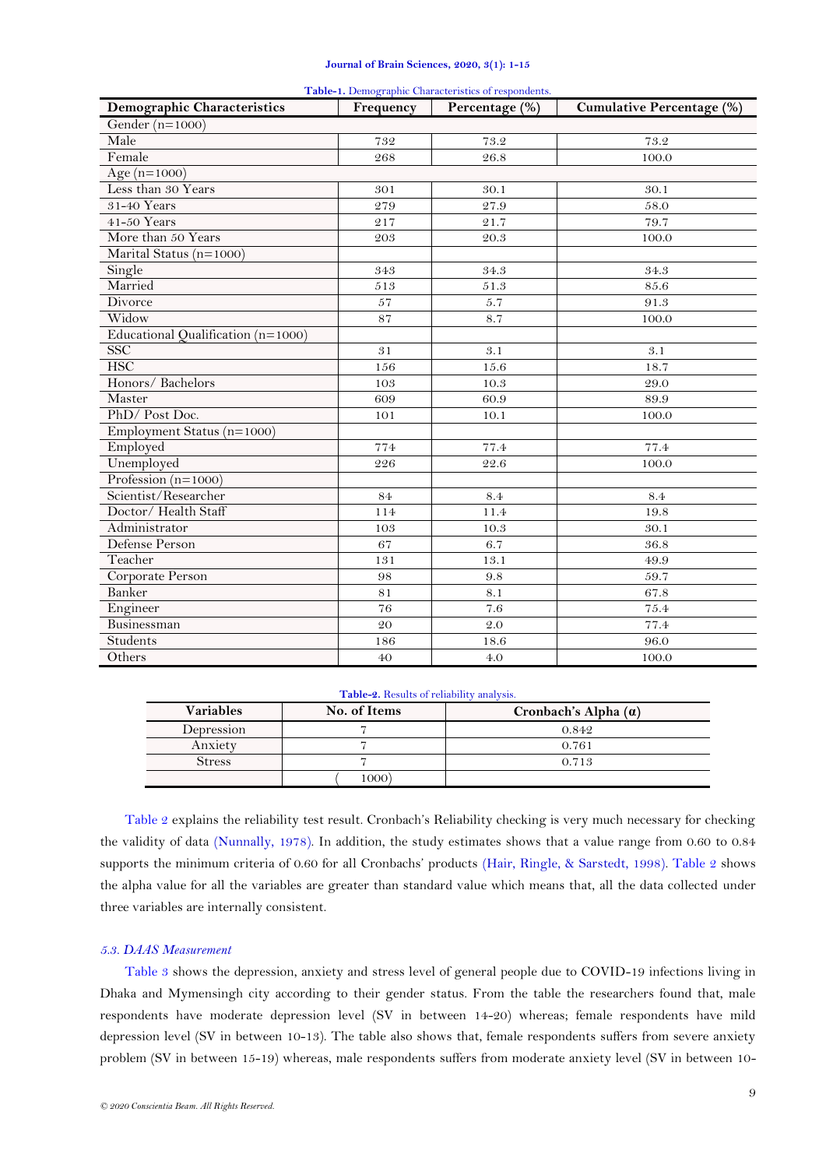<span id="page-8-0"></span>

| <b>Demographic Characteristics</b> | Frequency   | <b>Table-1.</b> Demographic Characteristics of respondents.<br>Percentage (%) | <b>Cumulative Percentage (%)</b> |
|------------------------------------|-------------|-------------------------------------------------------------------------------|----------------------------------|
| Gender ( $n=1000$ )                |             |                                                                               |                                  |
| Male                               | 732         | 73.2                                                                          | 73.2                             |
| Female                             | 268         | 26.8                                                                          | 100.0                            |
| Age $(n=1000)$                     |             |                                                                               |                                  |
| Less than 30 Years                 | 301         | 30.1                                                                          | 30.1                             |
| 31-40 Years                        | 279         | 27.9                                                                          | 58.0                             |
| 41-50 Years                        | 217         | 21.7                                                                          | 79.7                             |
| More than 50 Years                 | 203         | 20.3                                                                          | 100.0                            |
| Marital Status (n=1000)            |             |                                                                               |                                  |
| Single                             | 343         | 34.3                                                                          | 34.3                             |
| Married                            | 513         | 51.3                                                                          | 85.6                             |
| Divorce                            | 57          | 5.7                                                                           | 91.3                             |
| Widow                              | 87          | 8.7                                                                           | 100.0                            |
| Educational Qualification (n=1000) |             |                                                                               |                                  |
| <b>SSC</b>                         | $3\sqrt{1}$ | 3.1                                                                           | 3.1                              |
| <b>HSC</b>                         | 156         | 15.6                                                                          | 18.7                             |
| Honors/ Bachelors                  | 103         | 10.3                                                                          | 29.0                             |
| Master                             | 609         | 60.9                                                                          | 89.9                             |
| PhD/Post Doc.                      | 101         | 10.1                                                                          | 100.0                            |
| Employment Status (n=1000)         |             |                                                                               |                                  |
| Employed                           | 774         | 77.4                                                                          | 77.4                             |
| Unemployed                         | 226         | 22.6                                                                          | 100.0                            |
| Profession ( $n=1000$ )            |             |                                                                               |                                  |
| Scientist/Researcher               | 84          | 8.4                                                                           | 8.4                              |
| Doctor/ Health Staff               | 114         | 11.4                                                                          | 19.8                             |
| Administrator                      | 103         | 10.3                                                                          | 30.1                             |
| Defense Person                     | 67          | 6.7                                                                           | 36.8                             |
| Teacher                            | 131         | 13.1                                                                          | 49.9                             |
| Corporate Person                   | 98          | 9.8                                                                           | 59.7                             |
| Banker                             | 81          | 8.1                                                                           | 67.8                             |
| Engineer                           | 76          | 7.6                                                                           | 75.4                             |
| Businessman                        | 20          | $2.0\,$                                                                       | 77.4                             |
| Students                           | 186         | 18.6                                                                          | 96.0                             |
| Others                             | 40          | 4.0                                                                           | 100.0                            |

#### **Table-1.** Demographic Characteristics of respondents.

#### **Table-2.** Results of reliability analysis.

<span id="page-8-1"></span>

| <b>Variables</b> | No. of Items | Cronbach's Alpha $(a)$ |
|------------------|--------------|------------------------|
| Depression       |              | 0.842                  |
| Anxiety          |              | 0.761                  |
| Stress           |              | 0.713                  |
|                  | 1000         |                        |

[Table 2](#page-8-1) explains the reliability test result. Cronbach's Reliability checking is very much necessary for checking the validity of data [\(Nunnally, 1978\)](#page-13-17). In addition, the study estimates shows that a value range from 0.60 to 0.84 supports the minimum criteria of 0.60 for all Cronbachs' products [\(Hair, Ringle, & Sarstedt, 1998\)](#page-13-18). [Table 2](#page-8-1) shows the alpha value for all the variables are greater than standard value which means that, all the data collected under three variables are internally consistent.

## *5.3. DAAS Measurement*

[Table 3](#page-9-0) shows the depression, anxiety and stress level of general people due to COVID-19 infections living in Dhaka and Mymensingh city according to their gender status. From the table the researchers found that, male respondents have moderate depression level (SV in between 14-20) whereas; female respondents have mild depression level (SV in between 10-13). The table also shows that, female respondents suffers from severe anxiety problem (SV in between 15-19) whereas, male respondents suffers from moderate anxiety level (SV in between 10-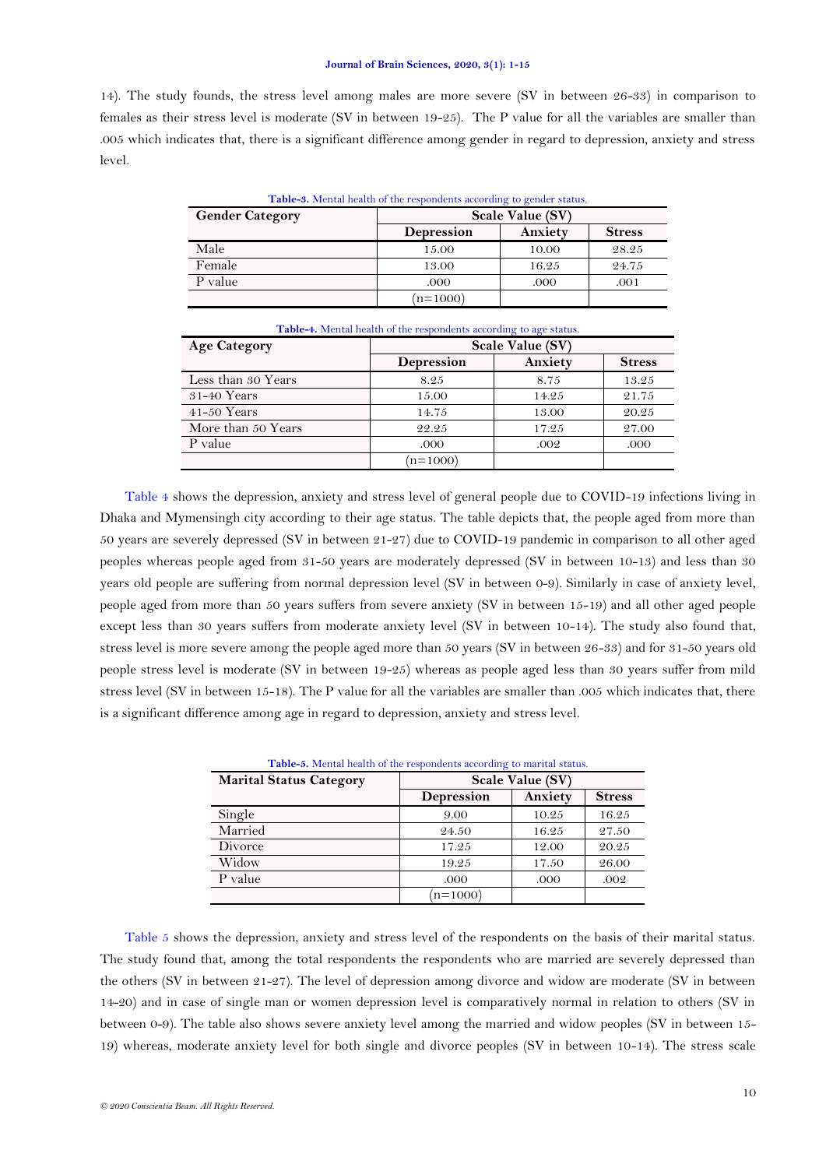14). The study founds, the stress level among males are more severe (SV in between 26-33) in comparison to females as their stress level is moderate (SV in between 19-25). The P value for all the variables are smaller than .005 which indicates that, there is a significant difference among gender in regard to depression, anxiety and stress level.

<span id="page-9-0"></span>

| <b>Gender Category</b> |            | Table-3. Mental health of the respondents according to gender status.<br>Scale Value (SV) |               |  |
|------------------------|------------|-------------------------------------------------------------------------------------------|---------------|--|
|                        | Depression | Anxiety                                                                                   | <b>Stress</b> |  |
| Male                   | 15.00      | 10.00                                                                                     | 28.25         |  |
| Female                 | 13.00      | 16.25                                                                                     | 24.75         |  |
| P value                | .000       | .000                                                                                      | .001          |  |
|                        | $(n=1000)$ |                                                                                           |               |  |

<span id="page-9-1"></span>

| <b>Table-4.</b> Mental health of the respondents according to age status. |                  |         |               |
|---------------------------------------------------------------------------|------------------|---------|---------------|
| <b>Age Category</b>                                                       | Scale Value (SV) |         |               |
|                                                                           | Depression       | Anxiety | <b>Stress</b> |
| Less than 30 Years                                                        | 8.25             | 8.75    | 13.25         |
| $31-40$ Years                                                             | 15.00            | 14.25   | 21.75         |
| $41-50$ Years                                                             | 14.75            | 13.00   | 20.25         |
| More than 50 Years                                                        | 22.25            | 17.25   | 27.00         |
| P value                                                                   | .000             | .002    | .000          |
|                                                                           | $n = 1000$       |         |               |

[Table 4](#page-9-1) shows the depression, anxiety and stress level of general people due to COVID-19 infections living in Dhaka and Mymensingh city according to their age status. The table depicts that, the people aged from more than 50 years are severely depressed (SV in between 21-27) due to COVID-19 pandemic in comparison to all other aged peoples whereas people aged from 31-50 years are moderately depressed (SV in between 10-13) and less than 30 years old people are suffering from normal depression level (SV in between 0-9). Similarly in case of anxiety level, people aged from more than 50 years suffers from severe anxiety (SV in between 15-19) and all other aged people except less than 30 years suffers from moderate anxiety level (SV in between 10-14). The study also found that, stress level is more severe among the people aged more than 50 years (SV in between 26-33) and for 31-50 years old people stress level is moderate (SV in between 19-25) whereas as people aged less than 30 years suffer from mild stress level (SV in between 15-18). The P value for all the variables are smaller than .005 which indicates that, there is a significant difference among age in regard to depression, anxiety and stress level.

<span id="page-9-2"></span>

| Table-5. Mental health of the respondents according to marital status. |                  |         |               |
|------------------------------------------------------------------------|------------------|---------|---------------|
| <b>Marital Status Category</b>                                         | Scale Value (SV) |         |               |
|                                                                        | Depression       | Anxiety | <b>Stress</b> |
| Single                                                                 | 9.00             | 10.25   | 16.25         |
| Married                                                                | 24.50            | 16.25   | 27.50         |
| Divorce                                                                | 17.25            | 12.00   | 20.25         |
| Widow                                                                  | 19.25            | 17.50   | 26.00         |
| P value                                                                | .000             | .000    | .002          |
|                                                                        | $n = 1000$       |         |               |

[Table 5](#page-9-2) shows the depression, anxiety and stress level of the respondents on the basis of their marital status. The study found that, among the total respondents the respondents who are married are severely depressed than the others (SV in between 21-27). The level of depression among divorce and widow are moderate (SV in between 14-20) and in case of single man or women depression level is comparatively normal in relation to others (SV in between 0-9). The table also shows severe anxiety level among the married and widow peoples (SV in between 15- 19) whereas, moderate anxiety level for both single and divorce peoples (SV in between 10-14). The stress scale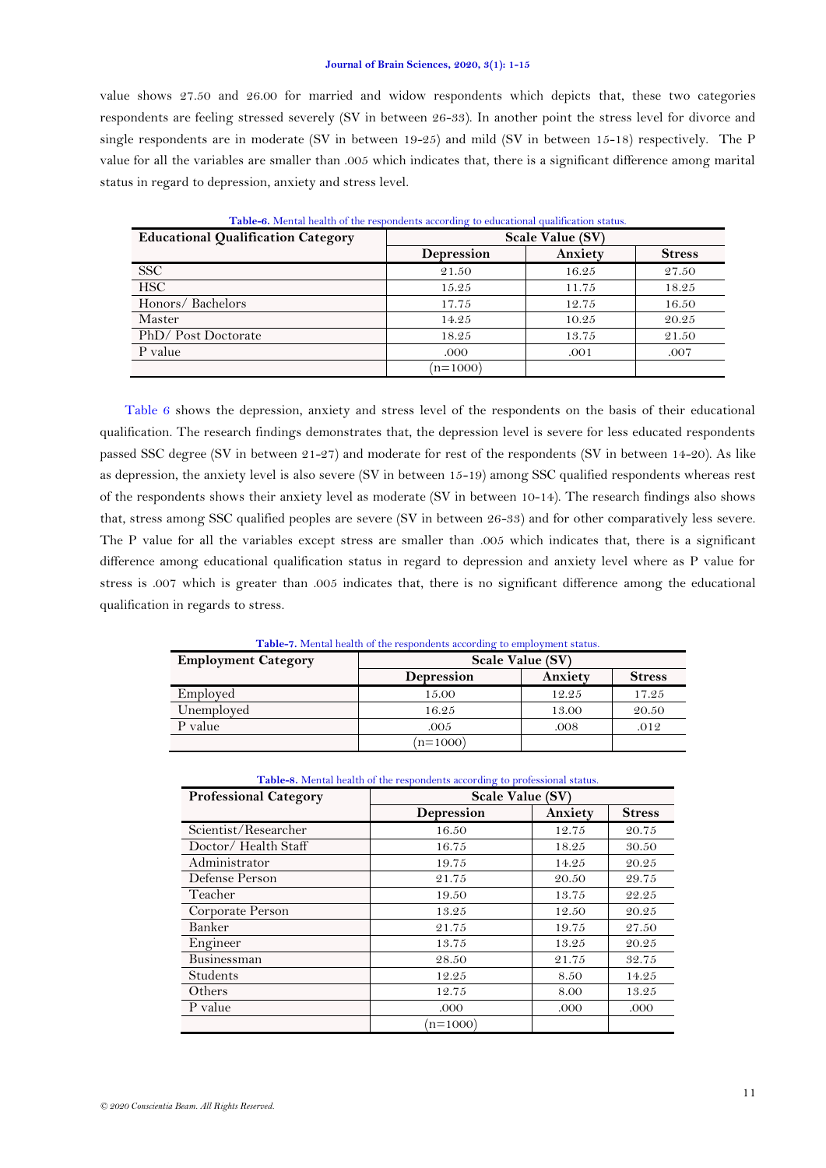value shows 27.50 and 26.00 for married and widow respondents which depicts that, these two categories respondents are feeling stressed severely (SV in between 26-33). In another point the stress level for divorce and single respondents are in moderate (SV in between 19-25) and mild (SV in between 15-18) respectively. The P value for all the variables are smaller than .005 which indicates that, there is a significant difference among marital status in regard to depression, anxiety and stress level.

<span id="page-10-0"></span>

| <b>Educational Qualification Category</b> | .<br>Scale Value (SV) |         |               |
|-------------------------------------------|-----------------------|---------|---------------|
|                                           | <b>Depression</b>     | Anxiety | <b>Stress</b> |
| <b>SSC</b>                                | 21.50                 | 16.25   | 27.50         |
| <b>HSC</b>                                | 15.25                 | 11.75   | 18.25         |
| Honors/Bachelors                          | 17.75                 | 12.75   | 16.50         |
| Master                                    | 14.25                 | 10.25   | 20.25         |
| PhD/Post Doctorate                        | 18.25                 | 13.75   | 21.50         |
| P value                                   | .000                  | .001    | .007          |
|                                           | $(n=1000)$            |         |               |

**Table-6.** Mental health of the respondents according to educational qualification status.

[Table 6](#page-10-0) shows the depression, anxiety and stress level of the respondents on the basis of their educational qualification. The research findings demonstrates that, the depression level is severe for less educated respondents passed SSC degree (SV in between 21-27) and moderate for rest of the respondents (SV in between 14-20). As like as depression, the anxiety level is also severe (SV in between 15-19) among SSC qualified respondents whereas rest of the respondents shows their anxiety level as moderate (SV in between 10-14). The research findings also shows that, stress among SSC qualified peoples are severe (SV in between 26-33) and for other comparatively less severe. The P value for all the variables except stress are smaller than .005 which indicates that, there is a significant difference among educational qualification status in regard to depression and anxiety level where as P value for stress is .007 which is greater than .005 indicates that, there is no significant difference among the educational qualification in regards to stress.

<span id="page-10-1"></span>

| <b>Employment Category</b> | Scale Value (SV)  |         |               |
|----------------------------|-------------------|---------|---------------|
|                            | <b>Depression</b> | Anxiety | <b>Stress</b> |
| Employed                   | 15.00             | 12.25   | 17.25         |
| Unemployed                 | 16.25             | 13.00   | 20.50         |
| P value                    | .005              | .008    | .012          |
|                            | $(n=1000)$        |         |               |

**Table-7.** Mental health of the respondents according to employment status.

<span id="page-10-2"></span>

| Table-8. Mental health of the respondents according to professional status. |                  |         |               |
|-----------------------------------------------------------------------------|------------------|---------|---------------|
| <b>Professional Category</b>                                                | Scale Value (SV) |         |               |
|                                                                             | Depression       | Anxiety | <b>Stress</b> |
| Scientist/Researcher                                                        | 16.50            | 12.75   | 20.75         |
| Doctor/Health Staff                                                         | 16.75            | 18.25   | 30.50         |
| Administrator                                                               | 19.75            | 14.25   | 20.25         |
| Defense Person                                                              | 21.75            | 20.50   | 29.75         |
| Teacher                                                                     | 19.50            | 13.75   | 22.25         |
| Corporate Person                                                            | 13.25            | 12.50   | 20.25         |
| Banker                                                                      | 21.75            | 19.75   | 27.50         |
| Engineer                                                                    | 13.75            | 13.25   | 20.25         |
| Businessman                                                                 | 28.50            | 21.75   | 32.75         |
| Students                                                                    | 12.25            | 8.50    | 14.25         |
| Others                                                                      | 12.75            | 8.00    | 13.25         |
| P value                                                                     | .000             | .000    | .000          |
|                                                                             | $n = 1000$       |         |               |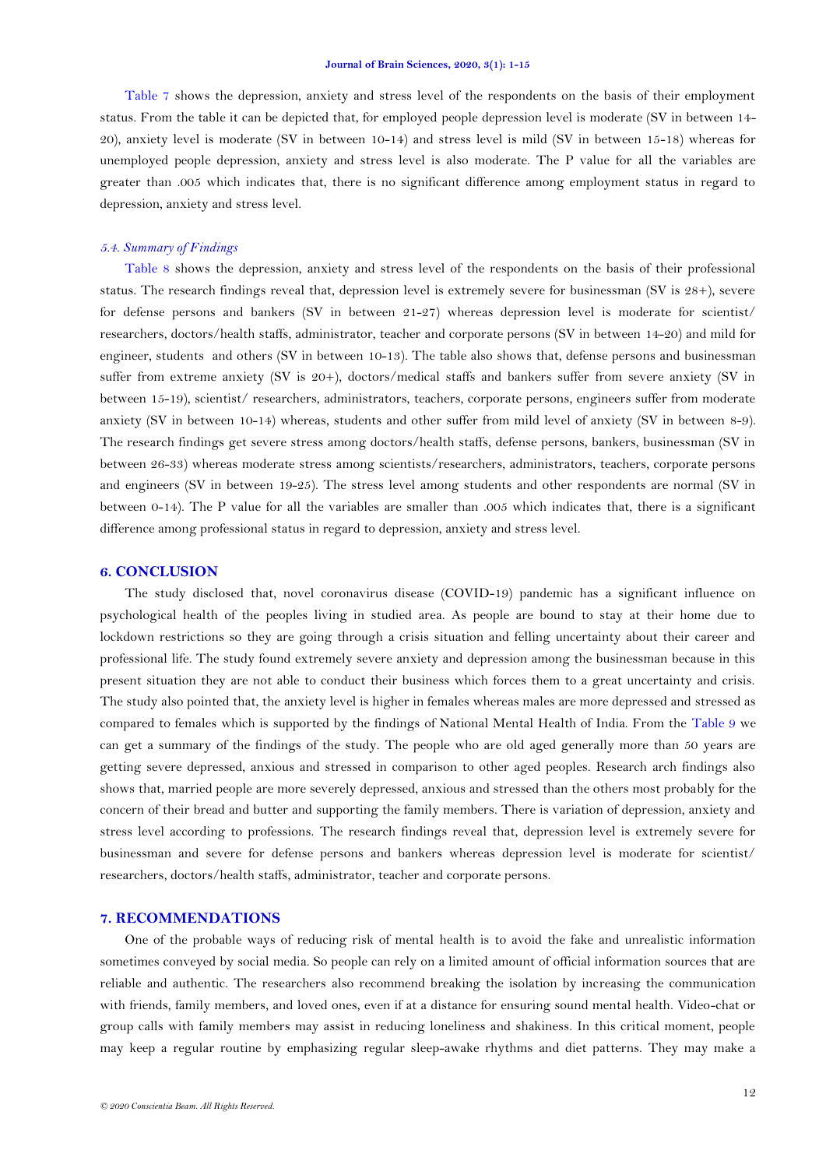[Table 7](#page-10-1) shows the depression, anxiety and stress level of the respondents on the basis of their employment status. From the table it can be depicted that, for employed people depression level is moderate (SV in between 14- 20), anxiety level is moderate (SV in between 10-14) and stress level is mild (SV in between 15-18) whereas for unemployed people depression, anxiety and stress level is also moderate. The P value for all the variables are greater than .005 which indicates that, there is no significant difference among employment status in regard to depression, anxiety and stress level.

#### *5.4. Summary of Findings*

[Table 8](#page-10-2) shows the depression, anxiety and stress level of the respondents on the basis of their professional status. The research findings reveal that, depression level is extremely severe for businessman (SV is 28+), severe for defense persons and bankers (SV in between 21-27) whereas depression level is moderate for scientist/ researchers, doctors/health staffs, administrator, teacher and corporate persons (SV in between 14-20) and mild for engineer, students and others (SV in between 10-13). The table also shows that, defense persons and businessman suffer from extreme anxiety (SV is 20+), doctors/medical staffs and bankers suffer from severe anxiety (SV in between 15-19), scientist/ researchers, administrators, teachers, corporate persons, engineers suffer from moderate anxiety (SV in between 10-14) whereas, students and other suffer from mild level of anxiety (SV in between 8-9). The research findings get severe stress among doctors/health staffs, defense persons, bankers, businessman (SV in between 26-33) whereas moderate stress among scientists/researchers, administrators, teachers, corporate persons and engineers (SV in between 19-25). The stress level among students and other respondents are normal (SV in between 0-14). The P value for all the variables are smaller than .005 which indicates that, there is a significant difference among professional status in regard to depression, anxiety and stress level.

#### **6. CONCLUSION**

The study disclosed that, novel coronavirus disease (COVID-19) pandemic has a significant influence on psychological health of the peoples living in studied area. As people are bound to stay at their home due to lockdown restrictions so they are going through a crisis situation and felling uncertainty about their career and professional life. The study found extremely severe anxiety and depression among the businessman because in this present situation they are not able to conduct their business which forces them to a great uncertainty and crisis. The study also pointed that, the anxiety level is higher in females whereas males are more depressed and stressed as compared to females which is supported by the findings of National Mental Health of India. From the [Table 9](#page-12-0) we can get a summary of the findings of the study. The people who are old aged generally more than 50 years are getting severe depressed, anxious and stressed in comparison to other aged peoples. Research arch findings also shows that, married people are more severely depressed, anxious and stressed than the others most probably for the concern of their bread and butter and supporting the family members. There is variation of depression, anxiety and stress level according to professions. The research findings reveal that, depression level is extremely severe for businessman and severe for defense persons and bankers whereas depression level is moderate for scientist/ researchers, doctors/health staffs, administrator, teacher and corporate persons.

## **7. RECOMMENDATIONS**

One of the probable ways of reducing risk of mental health is to avoid the fake and unrealistic information sometimes conveyed by social media. So people can rely on a limited amount of official information sources that are reliable and authentic. The researchers also recommend breaking the isolation by increasing the communication with friends, family members, and loved ones, even if at a distance for ensuring sound mental health. Video-chat or group calls with family members may assist in reducing loneliness and shakiness. In this critical moment, people may keep a regular routine by emphasizing regular sleep-awake rhythms and diet patterns. They may make a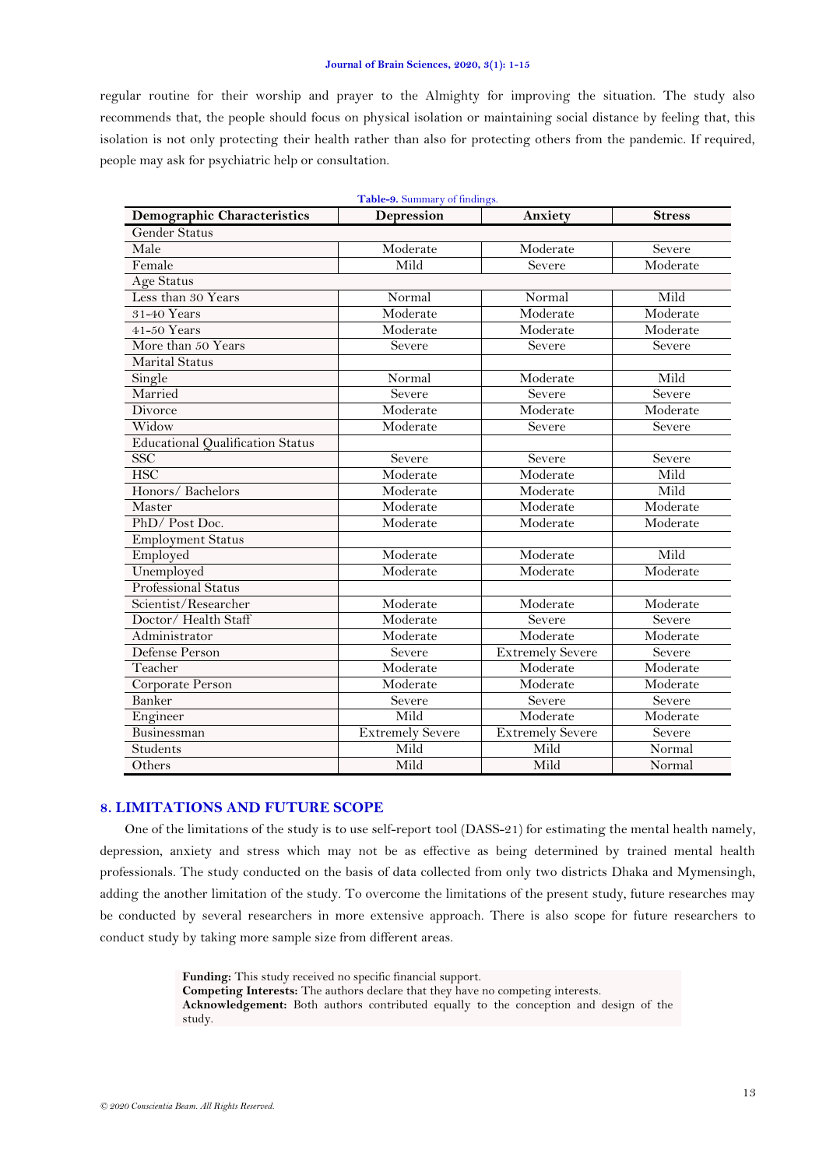regular routine for their worship and prayer to the Almighty for improving the situation. The study also recommends that, the people should focus on physical isolation or maintaining social distance by feeling that, this isolation is not only protecting their health rather than also for protecting others from the pandemic. If required, people may ask for psychiatric help or consultation.

<span id="page-12-0"></span>

| Table-9. Summary of findings.           |                               |                         |               |  |
|-----------------------------------------|-------------------------------|-------------------------|---------------|--|
| <b>Demographic Characteristics</b>      | Depression                    | Anxiety                 | <b>Stress</b> |  |
| <b>Gender Status</b>                    |                               |                         |               |  |
| Male                                    | Moderate                      | Moderate                | Severe        |  |
| Female                                  | Mild                          | Severe                  | Moderate      |  |
| Age Status                              |                               |                         |               |  |
| Less than 30 Years                      | Normal                        | Normal                  | Mild          |  |
| 31-40 Years                             | Moderate                      | Moderate                | Moderate      |  |
| 41-50 Years                             | Moderate                      | Moderate                | Moderate      |  |
| More than 50 Years                      | Severe                        | Severe                  | Severe        |  |
| <b>Marital Status</b>                   |                               |                         |               |  |
| Single                                  | Normal                        | Moderate                | Mild          |  |
| Married                                 | Severe                        | Severe                  | Severe        |  |
| Divorce                                 | Moderate                      | Moderate                | Moderate      |  |
| Widow                                   | Moderate                      | Severe                  | Severe        |  |
| <b>Educational Qualification Status</b> |                               |                         |               |  |
| SSC                                     | Severe                        | Severe                  | Severe        |  |
| <b>HSC</b>                              | Moderate                      | Moderate                | Mild          |  |
| Honors/ Bachelors                       | Moderate                      | Moderate                | Mild          |  |
| Master                                  | Moderate                      | Moderate                | Moderate      |  |
| PhD/Post Doc.                           | Moderate                      | Moderate                | Moderate      |  |
| <b>Employment Status</b>                |                               |                         |               |  |
| Employed                                | Moderate                      | Moderate                | Mild          |  |
| Unemployed                              | Moderate                      | Moderate                | Moderate      |  |
| <b>Professional Status</b>              |                               |                         |               |  |
| Scientist/Researcher                    | Moderate                      | Moderate                | Moderate      |  |
| Doctor/ Health Staff                    | Moderate                      | Severe                  | Severe        |  |
| Administrator                           | $\overline{\text{M}}$ oderate | Moderate                | Moderate      |  |
| Defense Person                          | Severe                        | <b>Extremely Severe</b> | Severe        |  |
| Teacher                                 | Moderate                      | Moderate                | Moderate      |  |
| Corporate Person                        | Moderate                      | Moderate                | Moderate      |  |
| Banker                                  | Severe                        | Severe                  | Severe        |  |
| Engineer                                | Mild                          | Moderate                | Moderate      |  |
| Businessman                             | <b>Extremely Severe</b>       | <b>Extremely Severe</b> | Severe        |  |
| Students                                | Mild                          | Mild                    | Normal        |  |
| Others                                  | Mild                          | Mild                    | Normal        |  |

### **8. LIMITATIONS AND FUTURE SCOPE**

One of the limitations of the study is to use self-report tool (DASS-21) for estimating the mental health namely, depression, anxiety and stress which may not be as effective as being determined by trained mental health professionals. The study conducted on the basis of data collected from only two districts Dhaka and Mymensingh, adding the another limitation of the study. To overcome the limitations of the present study, future researches may be conducted by several researchers in more extensive approach. There is also scope for future researchers to conduct study by taking more sample size from different areas.

> **Funding:** This study received no specific financial support. **Competing Interests:** The authors declare that they have no competing interests. **Acknowledgement:** Both authors contributed equally to the conception and design of the study.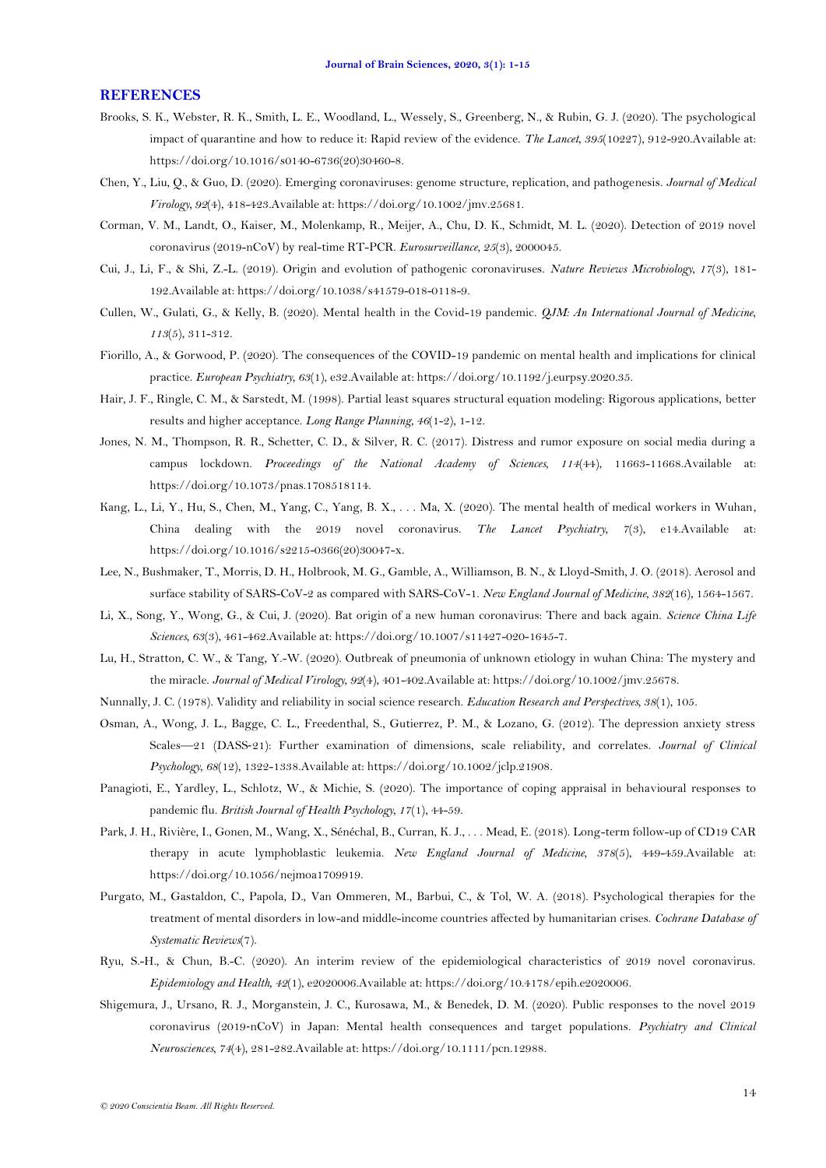#### **REFERENCES**

- <span id="page-13-1"></span>Brooks, S. K., Webster, R. K., Smith, L. E., Woodland, L., Wessely, S., Greenberg, N., & Rubin, G. J. (2020). The psychological impact of quarantine and how to reduce it: Rapid review of the evidence. *The Lancet, 395*(10227), 912-920.Available at: https://doi.org/10.1016/s0140-6736(20)30460-8.
- <span id="page-13-6"></span>Chen, Y., Liu, Q., & Guo, D. (2020). Emerging coronaviruses: genome structure, replication, and pathogenesis. *Journal of Medical Virology, 92*(4), 418-423.Available at: https://doi.org/10.1002/jmv.25681.
- <span id="page-13-8"></span>Corman, V. M., Landt, O., Kaiser, M., Molenkamp, R., Meijer, A., Chu, D. K., Schmidt, M. L. (2020). Detection of 2019 novel coronavirus (2019-nCoV) by real-time RT-PCR. *Eurosurveillance, 25*(3), 2000045.
- <span id="page-13-9"></span>Cui, J., Li, F., & Shi, Z.-L. (2019). Origin and evolution of pathogenic coronaviruses. *Nature Reviews Microbiology, 17*(3), 181- 192.Available at: https://doi.org/10.1038/s41579-018-0118-9.
- <span id="page-13-0"></span>Cullen, W., Gulati, G., & Kelly, B. (2020). Mental health in the Covid-19 pandemic. *QJM: An International Journal of Medicine, 113*(5), 311-312.
- <span id="page-13-3"></span>Fiorillo, A., & Gorwood, P. (2020). The consequences of the COVID-19 pandemic on mental health and implications for clinical practice. *European Psychiatry, 63*(1), e32.Available at: https://doi.org/10.1192/j.eurpsy.2020.35.
- <span id="page-13-18"></span>Hair, J. F., Ringle, C. M., & Sarstedt, M. (1998). Partial least squares structural equation modeling: Rigorous applications, better results and higher acceptance. *Long Range Planning, 46*(1-2), 1-12.
- <span id="page-13-14"></span>Jones, N. M., Thompson, R. R., Schetter, C. D., & Silver, R. C. (2017). Distress and rumor exposure on social media during a campus lockdown. *Proceedings of the National Academy of Sciences, 114*(44), 11663-11668.Available at: https://doi.org/10.1073/pnas.1708518114.
- <span id="page-13-13"></span>Kang, L., Li, Y., Hu, S., Chen, M., Yang, C., Yang, B. X., . . . Ma, X. (2020). The mental health of medical workers in Wuhan, China dealing with the 2019 novel coronavirus. *The Lancet Psychiatry, 7*(3), e14.Available at: https://doi.org/10.1016/s2215-0366(20)30047-x.
- <span id="page-13-11"></span>Lee, N., Bushmaker, T., Morris, D. H., Holbrook, M. G., Gamble, A., Williamson, B. N., & Lloyd-Smith, J. O. (2018). Aerosol and surface stability of SARS-CoV-2 as compared with SARS-CoV-1. *New England Journal of Medicine, 382*(16), 1564-1567.
- <span id="page-13-5"></span>Li, X., Song, Y., Wong, G., & Cui, J. (2020). Bat origin of a new human coronavirus: There and back again. *Science China Life Sciences, 63*(3), 461-462.Available at: https://doi.org/10.1007/s11427-020-1645-7.
- <span id="page-13-7"></span>Lu, H., Stratton, C. W., & Tang, Y.-W. (2020). Outbreak of pneumonia of unknown etiology in wuhan China: The mystery and the miracle. *Journal of Medical Virology, 92*(4), 401-402.Available at: https://doi.org/10.1002/jmv.25678.
- <span id="page-13-17"></span>Nunnally, J. C. (1978). Validity and reliability in social science research. *Education Research and Perspectives, 38*(1), 105.
- <span id="page-13-16"></span>Osman, A., Wong, J. L., Bagge, C. L., Freedenthal, S., Gutierrez, P. M., & Lozano, G. (2012). The depression anxiety stress Scales—21 (DASS‐21): Further examination of dimensions, scale reliability, and correlates. *Journal of Clinical Psychology, 68*(12), 1322-1338.Available at: https://doi.org/10.1002/jclp.21908.
- <span id="page-13-12"></span>Panagioti, E., Yardley, L., Schlotz, W., & Michie, S. (2020). The importance of coping appraisal in behavioural responses to pandemic flu. *British Journal of Health Psychology, 17*(1), 44-59.
- <span id="page-13-10"></span>Park, J. H., Rivière, I., Gonen, M., Wang, X., Sénéchal, B., Curran, K. J., . . . Mead, E. (2018). Long-term follow-up of CD19 CAR therapy in acute lymphoblastic leukemia. *New England Journal of Medicine, 378*(5), 449-459.Available at: https://doi.org/10.1056/nejmoa1709919.
- <span id="page-13-15"></span>Purgato, M., Gastaldon, C., Papola, D., Van Ommeren, M., Barbui, C., & Tol, W. A. (2018). Psychological therapies for the treatment of mental disorders in low-and middle-income countries affected by humanitarian crises. *Cochrane Database of Systematic Reviews*(7).
- <span id="page-13-4"></span>Ryu, S.-H., & Chun, B.-C. (2020). An interim review of the epidemiological characteristics of 2019 novel coronavirus. *Epidemiology and Health, 42*(1), e2020006.Available at: https://doi.org/10.4178/epih.e2020006.
- <span id="page-13-2"></span>Shigemura, J., Ursano, R. J., Morganstein, J. C., Kurosawa, M., & Benedek, D. M. (2020). Public responses to the novel 2019 coronavirus (2019‐nCoV) in Japan: Mental health consequences and target populations. *Psychiatry and Clinical Neurosciences, 74*(4), 281-282.Available at: https://doi.org/10.1111/pcn.12988.